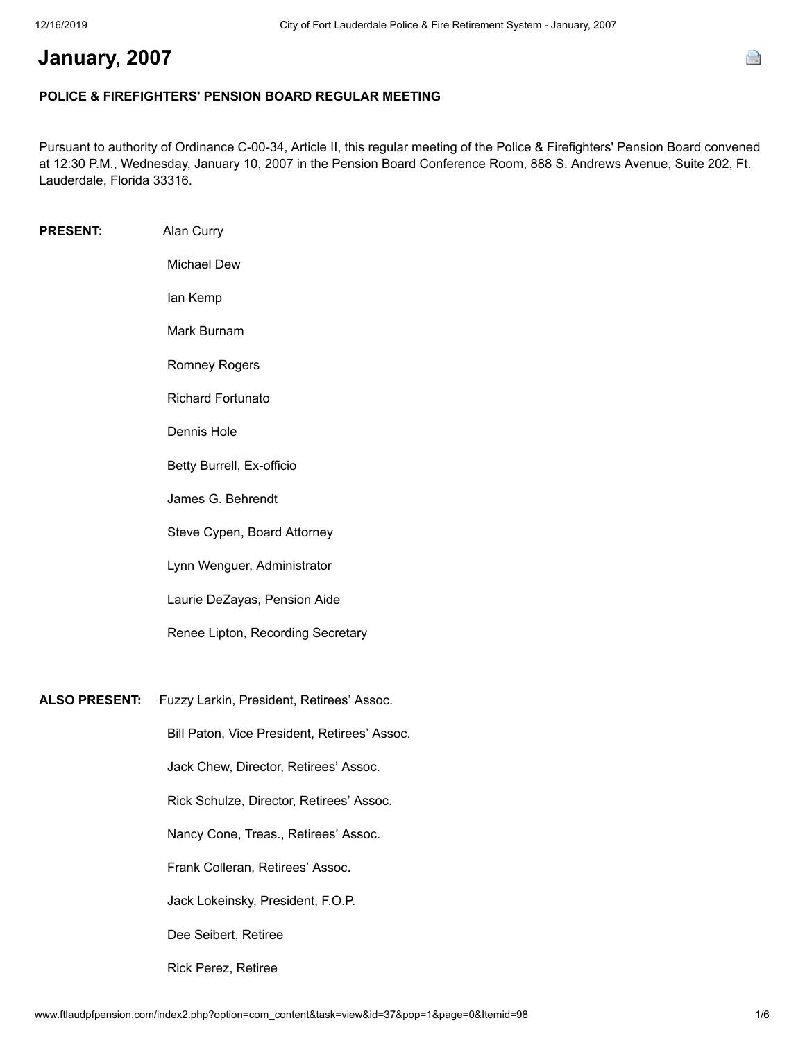## **January, 2007**

## **POLICE & FIREFIGHTERS' PENSION BOARD REGULAR MEETING**

Pursuant to authority of Ordinance C-00-34, Article II, this regular meeting of the Police & Firefighters' Pension Board convened at 12:30 P.M., Wednesday, January 10, 2007 in the Pension Board Conference Room, 888 S. Andrews Avenue, Suite 202, Ft. Lauderdale, Florida 33316.

| <b>PRESENT:</b>      | Alan Curry                                   |
|----------------------|----------------------------------------------|
|                      | <b>Michael Dew</b>                           |
|                      | lan Kemp                                     |
|                      | Mark Burnam                                  |
|                      | <b>Romney Rogers</b>                         |
|                      | <b>Richard Fortunato</b>                     |
|                      | Dennis Hole                                  |
|                      | Betty Burrell, Ex-officio                    |
|                      | James G. Behrendt                            |
|                      | Steve Cypen, Board Attorney                  |
|                      | Lynn Wenguer, Administrator                  |
|                      | Laurie DeZayas, Pension Aide                 |
|                      | Renee Lipton, Recording Secretary            |
|                      |                                              |
| <b>ALSO PRESENT:</b> | Fuzzy Larkin, President, Retirees' Assoc.    |
|                      | Bill Paton, Vice President, Retirees' Assoc. |
|                      | Jack Chew, Director, Retirees' Assoc.        |
|                      | Rick Schulze, Director, Retirees' Assoc.     |
|                      | Nancy Cone, Treas., Retirees' Assoc.         |
|                      | Frank Colleran, Retirees' Assoc.             |
|                      | Jack Lokeinsky, President, F.O.P.            |
|                      | Dee Seibert, Retiree                         |
|                      | Rick Perez, Retiree                          |

e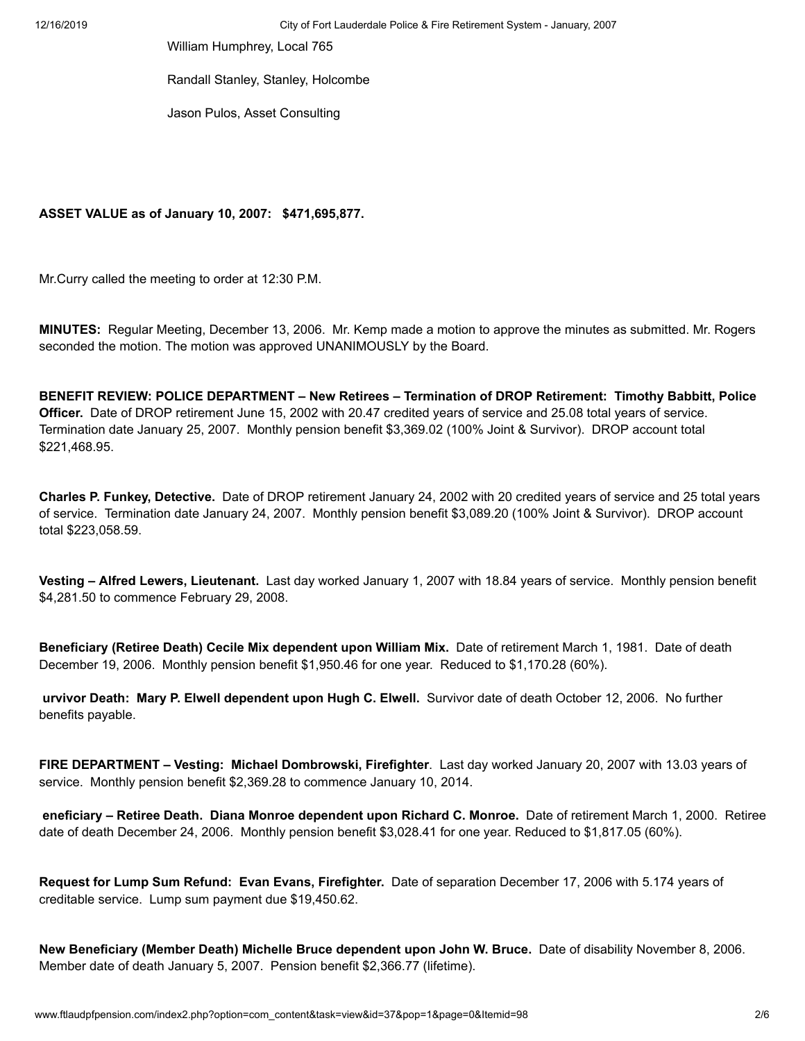William Humphrey, Local 765

Randall Stanley, Stanley, Holcombe

Jason Pulos, Asset Consulting

## **ASSET VALUE as of January 10, 2007: \$471,695,877.**

Mr.Curry called the meeting to order at 12:30 P.M.

**MINUTES:** Regular Meeting, December 13, 2006. Mr. Kemp made a motion to approve the minutes as submitted. Mr. Rogers seconded the motion. The motion was approved UNANIMOUSLY by the Board.

**BENEFIT REVIEW: POLICE DEPARTMENT – New Retirees – Termination of DROP Retirement: Timothy Babbitt, Police Officer.** Date of DROP retirement June 15, 2002 with 20.47 credited years of service and 25.08 total years of service. Termination date January 25, 2007. Monthly pension benefit \$3,369.02 (100% Joint & Survivor). DROP account total \$221,468.95.

**Charles P. Funkey, Detective.** Date of DROP retirement January 24, 2002 with 20 credited years of service and 25 total years of service. Termination date January 24, 2007. Monthly pension benefit \$3,089.20 (100% Joint & Survivor). DROP account total \$223,058.59.

**Vesting – Alfred Lewers, Lieutenant.** Last day worked January 1, 2007 with 18.84 years of service. Monthly pension benefit \$4,281.50 to commence February 29, 2008.

**Beneficiary (Retiree Death) Cecile Mix dependent upon William Mix.** Date of retirement March 1, 1981. Date of death December 19, 2006. Monthly pension benefit \$1,950.46 for one year. Reduced to \$1,170.28 (60%).

**urvivor Death: Mary P. Elwell dependent upon Hugh C. Elwell.** Survivor date of death October 12, 2006. No further benefits payable.

**FIRE DEPARTMENT – Vesting: Michael Dombrowski, Firefighter**. Last day worked January 20, 2007 with 13.03 years of service. Monthly pension benefit \$2,369.28 to commence January 10, 2014.

 **eneficiary – Retiree Death. Diana Monroe dependent upon Richard C. Monroe.** Date of retirement March 1, 2000. Retiree date of death December 24, 2006. Monthly pension benefit \$3,028.41 for one year. Reduced to \$1,817.05 (60%).

**Request for Lump Sum Refund: Evan Evans, Firefighter.** Date of separation December 17, 2006 with 5.174 years of creditable service. Lump sum payment due \$19,450.62.

**New Beneficiary (Member Death) Michelle Bruce dependent upon John W. Bruce.** Date of disability November 8, 2006. Member date of death January 5, 2007. Pension benefit \$2,366.77 (lifetime).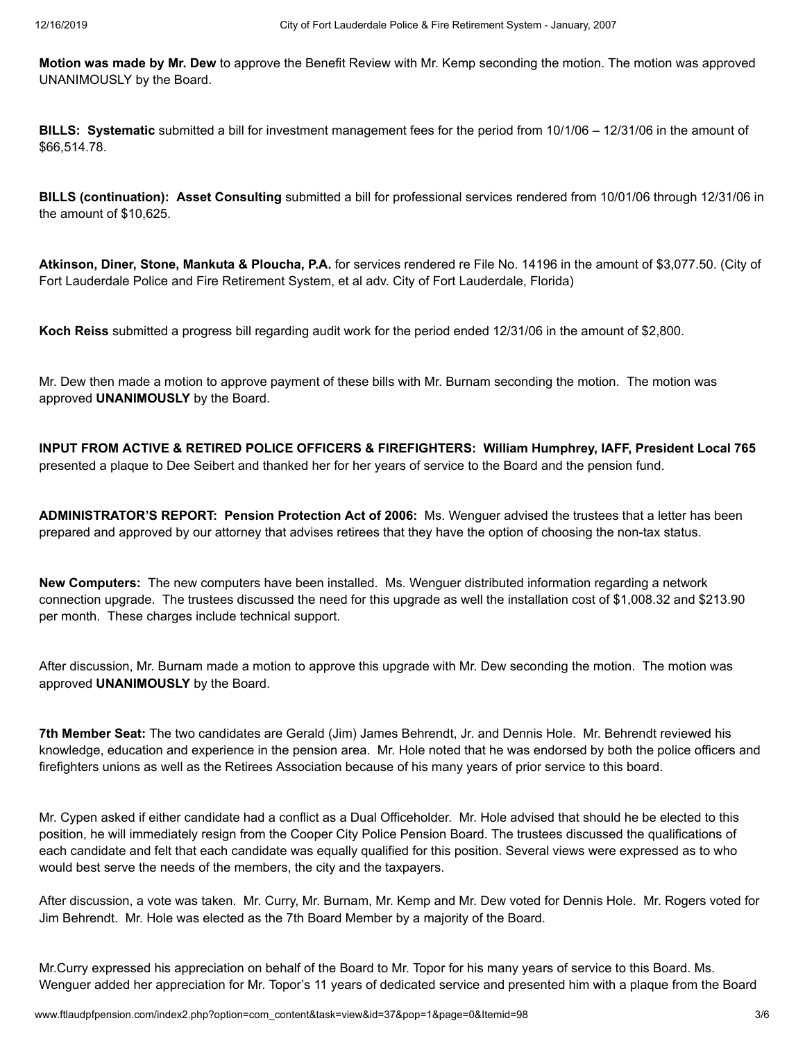**Motion was made by Mr. Dew** to approve the Benefit Review with Mr. Kemp seconding the motion. The motion was approved UNANIMOUSLY by the Board.

**BILLS: Systematic** submitted a bill for investment management fees for the period from 10/1/06 – 12/31/06 in the amount of \$66,514.78.

**BILLS (continuation): Asset Consulting** submitted a bill for professional services rendered from 10/01/06 through 12/31/06 in the amount of \$10,625.

**Atkinson, Diner, Stone, Mankuta & Ploucha, P.A.** for services rendered re File No. 14196 in the amount of \$3,077.50. (City of Fort Lauderdale Police and Fire Retirement System, et al adv. City of Fort Lauderdale, Florida)

**Koch Reiss** submitted a progress bill regarding audit work for the period ended 12/31/06 in the amount of \$2,800.

Mr. Dew then made a motion to approve payment of these bills with Mr. Burnam seconding the motion. The motion was approved **UNANIMOUSLY** by the Board.

**INPUT FROM ACTIVE & RETIRED POLICE OFFICERS & FIREFIGHTERS: William Humphrey, IAFF, President Local 765** presented a plaque to Dee Seibert and thanked her for her years of service to the Board and the pension fund.

**ADMINISTRATOR'S REPORT: Pension Protection Act of 2006:** Ms. Wenguer advised the trustees that a letter has been prepared and approved by our attorney that advises retirees that they have the option of choosing the non-tax status.

**New Computers:** The new computers have been installed. Ms. Wenguer distributed information regarding a network connection upgrade. The trustees discussed the need for this upgrade as well the installation cost of \$1,008.32 and \$213.90 per month. These charges include technical support.

After discussion, Mr. Burnam made a motion to approve this upgrade with Mr. Dew seconding the motion. The motion was approved **UNANIMOUSLY** by the Board.

**7th Member Seat:** The two candidates are Gerald (Jim) James Behrendt, Jr. and Dennis Hole. Mr. Behrendt reviewed his knowledge, education and experience in the pension area. Mr. Hole noted that he was endorsed by both the police officers and firefighters unions as well as the Retirees Association because of his many years of prior service to this board.

Mr. Cypen asked if either candidate had a conflict as a Dual Officeholder. Mr. Hole advised that should he be elected to this position, he will immediately resign from the Cooper City Police Pension Board. The trustees discussed the qualifications of each candidate and felt that each candidate was equally qualified for this position. Several views were expressed as to who would best serve the needs of the members, the city and the taxpayers.

After discussion, a vote was taken. Mr. Curry, Mr. Burnam, Mr. Kemp and Mr. Dew voted for Dennis Hole. Mr. Rogers voted for Jim Behrendt. Mr. Hole was elected as the 7th Board Member by a majority of the Board.

Mr.Curry expressed his appreciation on behalf of the Board to Mr. Topor for his many years of service to this Board. Ms. Wenguer added her appreciation for Mr. Topor's 11 years of dedicated service and presented him with a plaque from the Board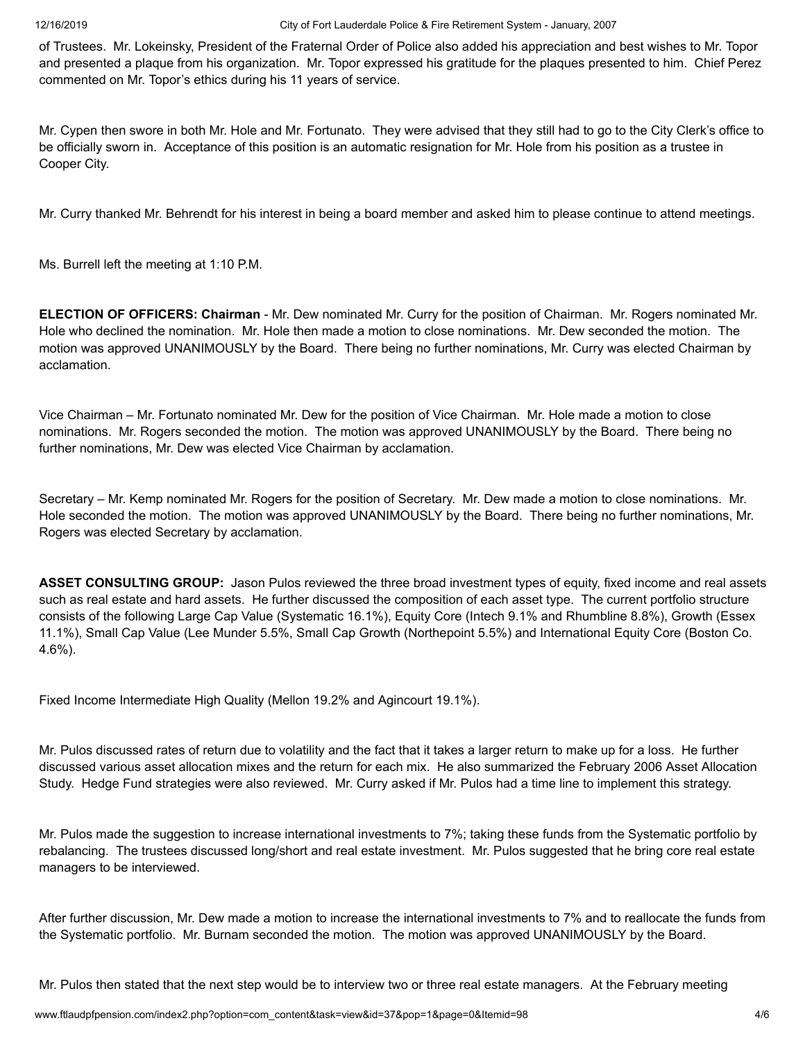of Trustees. Mr. Lokeinsky, President of the Fraternal Order of Police also added his appreciation and best wishes to Mr. Topor and presented a plaque from his organization. Mr. Topor expressed his gratitude for the plaques presented to him. Chief Perez commented on Mr. Topor's ethics during his 11 years of service.

Mr. Cypen then swore in both Mr. Hole and Mr. Fortunato. They were advised that they still had to go to the City Clerk's office to be officially sworn in. Acceptance of this position is an automatic resignation for Mr. Hole from his position as a trustee in Cooper City.

Mr. Curry thanked Mr. Behrendt for his interest in being a board member and asked him to please continue to attend meetings.

Ms. Burrell left the meeting at 1:10 P.M.

**ELECTION OF OFFICERS: Chairman** - Mr. Dew nominated Mr. Curry for the position of Chairman. Mr. Rogers nominated Mr. Hole who declined the nomination. Mr. Hole then made a motion to close nominations. Mr. Dew seconded the motion. The motion was approved UNANIMOUSLY by the Board. There being no further nominations, Mr. Curry was elected Chairman by acclamation.

Vice Chairman – Mr. Fortunato nominated Mr. Dew for the position of Vice Chairman. Mr. Hole made a motion to close nominations. Mr. Rogers seconded the motion. The motion was approved UNANIMOUSLY by the Board. There being no further nominations, Mr. Dew was elected Vice Chairman by acclamation.

Secretary – Mr. Kemp nominated Mr. Rogers for the position of Secretary. Mr. Dew made a motion to close nominations. Mr. Hole seconded the motion. The motion was approved UNANIMOUSLY by the Board. There being no further nominations, Mr. Rogers was elected Secretary by acclamation.

**ASSET CONSULTING GROUP:** Jason Pulos reviewed the three broad investment types of equity, fixed income and real assets such as real estate and hard assets. He further discussed the composition of each asset type. The current portfolio structure consists of the following Large Cap Value (Systematic 16.1%), Equity Core (Intech 9.1% and Rhumbline 8.8%), Growth (Essex 11.1%), Small Cap Value (Lee Munder 5.5%, Small Cap Growth (Northepoint 5.5%) and International Equity Core (Boston Co. 4.6%).

Fixed Income Intermediate High Quality (Mellon 19.2% and Agincourt 19.1%).

Mr. Pulos discussed rates of return due to volatility and the fact that it takes a larger return to make up for a loss. He further discussed various asset allocation mixes and the return for each mix. He also summarized the February 2006 Asset Allocation Study. Hedge Fund strategies were also reviewed. Mr. Curry asked if Mr. Pulos had a time line to implement this strategy.

Mr. Pulos made the suggestion to increase international investments to 7%; taking these funds from the Systematic portfolio by rebalancing. The trustees discussed long/short and real estate investment. Mr. Pulos suggested that he bring core real estate managers to be interviewed.

After further discussion, Mr. Dew made a motion to increase the international investments to 7% and to reallocate the funds from the Systematic portfolio. Mr. Burnam seconded the motion. The motion was approved UNANIMOUSLY by the Board.

Mr. Pulos then stated that the next step would be to interview two or three real estate managers. At the February meeting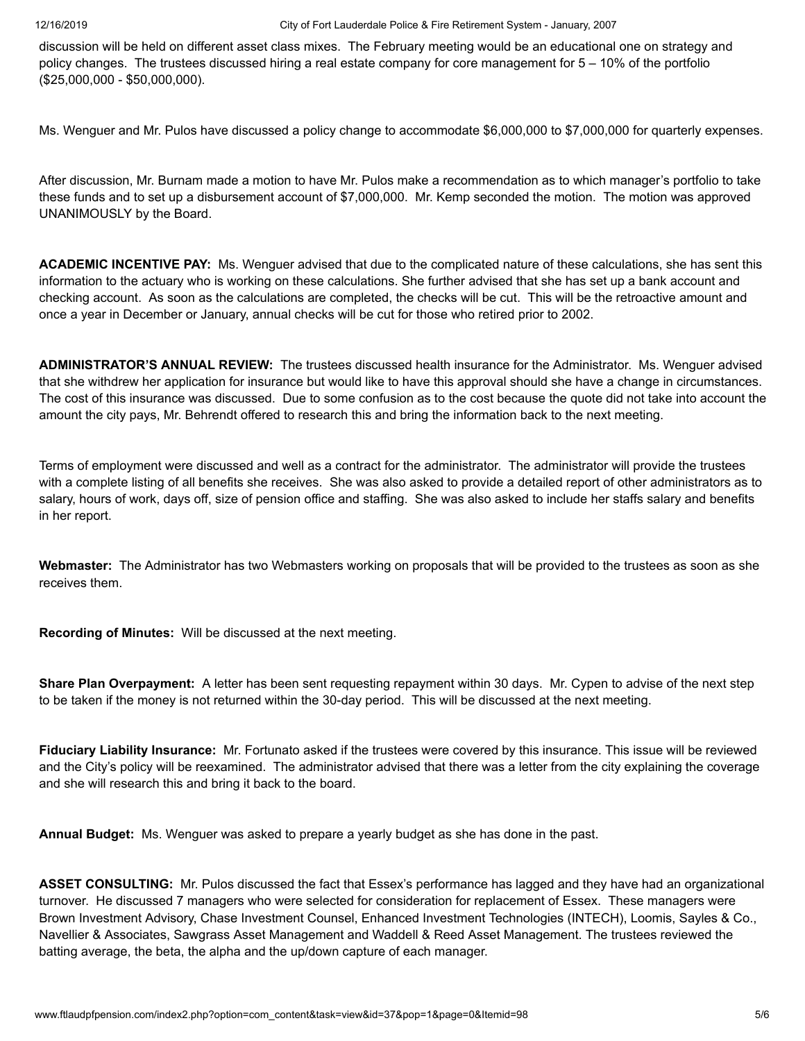discussion will be held on different asset class mixes. The February meeting would be an educational one on strategy and policy changes. The trustees discussed hiring a real estate company for core management for 5 – 10% of the portfolio (\$25,000,000 - \$50,000,000).

Ms. Wenguer and Mr. Pulos have discussed a policy change to accommodate \$6,000,000 to \$7,000,000 for quarterly expenses.

After discussion, Mr. Burnam made a motion to have Mr. Pulos make a recommendation as to which manager's portfolio to take these funds and to set up a disbursement account of \$7,000,000. Mr. Kemp seconded the motion. The motion was approved UNANIMOUSLY by the Board.

**ACADEMIC INCENTIVE PAY:** Ms. Wenguer advised that due to the complicated nature of these calculations, she has sent this information to the actuary who is working on these calculations. She further advised that she has set up a bank account and checking account. As soon as the calculations are completed, the checks will be cut. This will be the retroactive amount and once a year in December or January, annual checks will be cut for those who retired prior to 2002.

**ADMINISTRATOR'S ANNUAL REVIEW:** The trustees discussed health insurance for the Administrator. Ms. Wenguer advised that she withdrew her application for insurance but would like to have this approval should she have a change in circumstances. The cost of this insurance was discussed. Due to some confusion as to the cost because the quote did not take into account the amount the city pays, Mr. Behrendt offered to research this and bring the information back to the next meeting.

Terms of employment were discussed and well as a contract for the administrator. The administrator will provide the trustees with a complete listing of all benefits she receives. She was also asked to provide a detailed report of other administrators as to salary, hours of work, days off, size of pension office and staffing. She was also asked to include her staffs salary and benefits in her report.

**Webmaster:** The Administrator has two Webmasters working on proposals that will be provided to the trustees as soon as she receives them.

**Recording of Minutes:** Will be discussed at the next meeting.

**Share Plan Overpayment:** A letter has been sent requesting repayment within 30 days. Mr. Cypen to advise of the next step to be taken if the money is not returned within the 30-day period. This will be discussed at the next meeting.

**Fiduciary Liability Insurance:** Mr. Fortunato asked if the trustees were covered by this insurance. This issue will be reviewed and the City's policy will be reexamined. The administrator advised that there was a letter from the city explaining the coverage and she will research this and bring it back to the board.

**Annual Budget:** Ms. Wenguer was asked to prepare a yearly budget as she has done in the past.

**ASSET CONSULTING:** Mr. Pulos discussed the fact that Essex's performance has lagged and they have had an organizational turnover. He discussed 7 managers who were selected for consideration for replacement of Essex. These managers were Brown Investment Advisory, Chase Investment Counsel, Enhanced Investment Technologies (INTECH), Loomis, Sayles & Co., Navellier & Associates, Sawgrass Asset Management and Waddell & Reed Asset Management. The trustees reviewed the batting average, the beta, the alpha and the up/down capture of each manager.